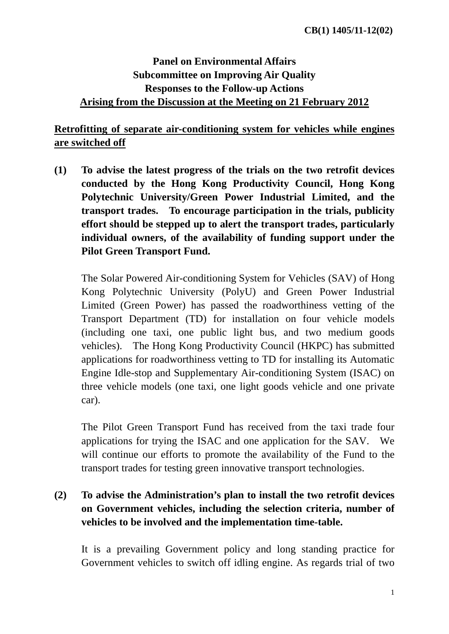# **Panel on Environmental Affairs Subcommittee on Improving Air Quality Responses to the Follow-up Actions Arising from the Discussion at the Meeting on 21 February 2012**

#### **Retrofitting of separate air-conditioning system for vehicles while engines are switched off**

**(1) To advise the latest progress of the trials on the two retrofit devices conducted by the Hong Kong Productivity Council, Hong Kong Polytechnic University/Green Power Industrial Limited, and the transport trades. To encourage participation in the trials, publicity effort should be stepped up to alert the transport trades, particularly individual owners, of the availability of funding support under the Pilot Green Transport Fund.** 

The Solar Powered Air-conditioning System for Vehicles (SAV) of Hong Kong Polytechnic University (PolyU) and Green Power Industrial Limited (Green Power) has passed the roadworthiness vetting of the Transport Department (TD) for installation on four vehicle models (including one taxi, one public light bus, and two medium goods vehicles). The Hong Kong Productivity Council (HKPC) has submitted applications for roadworthiness vetting to TD for installing its Automatic Engine Idle-stop and Supplementary Air-conditioning System (ISAC) on three vehicle models (one taxi, one light goods vehicle and one private car).

The Pilot Green Transport Fund has received from the taxi trade four applications for trying the ISAC and one application for the SAV. We will continue our efforts to promote the availability of the Fund to the transport trades for testing green innovative transport technologies.

# **(2) To advise the Administration's plan to install the two retrofit devices on Government vehicles, including the selection criteria, number of vehicles to be involved and the implementation time-table.**

It is a prevailing Government policy and long standing practice for Government vehicles to switch off idling engine. As regards trial of two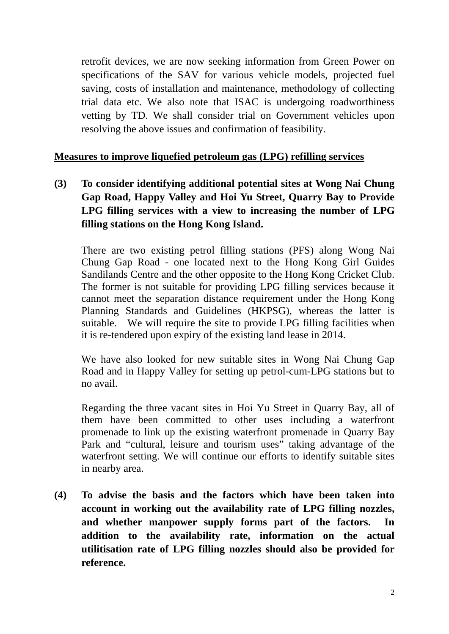retrofit devices, we are now seeking information from Green Power on specifications of the SAV for various vehicle models, projected fuel saving, costs of installation and maintenance, methodology of collecting trial data etc. We also note that ISAC is undergoing roadworthiness vetting by TD. We shall consider trial on Government vehicles upon resolving the above issues and confirmation of feasibility.

#### **Measures to improve liquefied petroleum gas (LPG) refilling services**

**(3) To consider identifying additional potential sites at Wong Nai Chung Gap Road, Happy Valley and Hoi Yu Street, Quarry Bay to Provide LPG filling services with a view to increasing the number of LPG filling stations on the Hong Kong Island.** 

There are two existing petrol filling stations (PFS) along Wong Nai Chung Gap Road - one located next to the Hong Kong Girl Guides Sandilands Centre and the other opposite to the Hong Kong Cricket Club. The former is not suitable for providing LPG filling services because it cannot meet the separation distance requirement under the Hong Kong Planning Standards and Guidelines (HKPSG), whereas the latter is suitable. We will require the site to provide LPG filling facilities when it is re-tendered upon expiry of the existing land lease in 2014.

We have also looked for new suitable sites in Wong Nai Chung Gap Road and in Happy Valley for setting up petrol-cum-LPG stations but to no avail.

Regarding the three vacant sites in Hoi Yu Street in Quarry Bay, all of them have been committed to other uses including a waterfront promenade to link up the existing waterfront promenade in Quarry Bay Park and "cultural, leisure and tourism uses" taking advantage of the waterfront setting. We will continue our efforts to identify suitable sites in nearby area.

**(4) To advise the basis and the factors which have been taken into account in working out the availability rate of LPG filling nozzles, and whether manpower supply forms part of the factors. In addition to the availability rate, information on the actual utilitisation rate of LPG filling nozzles should also be provided for reference.**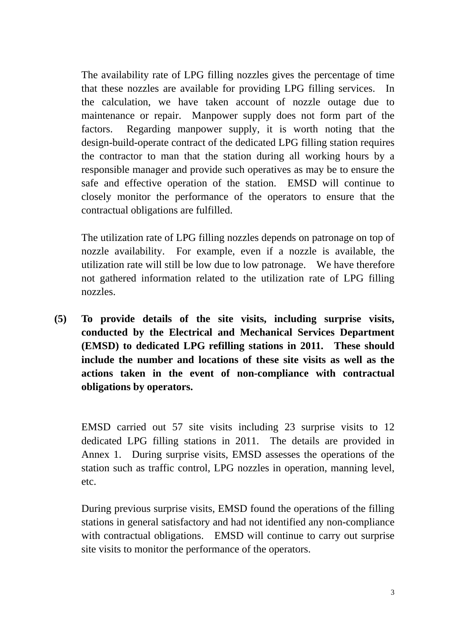The availability rate of LPG filling nozzles gives the percentage of time that these nozzles are available for providing LPG filling services. In the calculation, we have taken account of nozzle outage due to maintenance or repair. Manpower supply does not form part of the factors. Regarding manpower supply, it is worth noting that the design-build-operate contract of the dedicated LPG filling station requires the contractor to man that the station during all working hours by a responsible manager and provide such operatives as may be to ensure the safe and effective operation of the station. EMSD will continue to closely monitor the performance of the operators to ensure that the contractual obligations are fulfilled.

The utilization rate of LPG filling nozzles depends on patronage on top of nozzle availability. For example, even if a nozzle is available, the utilization rate will still be low due to low patronage. We have therefore not gathered information related to the utilization rate of LPG filling nozzles.

**(5) To provide details of the site visits, including surprise visits, conducted by the Electrical and Mechanical Services Department (EMSD) to dedicated LPG refilling stations in 2011. These should include the number and locations of these site visits as well as the actions taken in the event of non-compliance with contractual obligations by operators.** 

EMSD carried out 57 site visits including 23 surprise visits to 12 dedicated LPG filling stations in 2011. The details are provided in Annex 1. During surprise visits, EMSD assesses the operations of the station such as traffic control, LPG nozzles in operation, manning level, etc.

During previous surprise visits, EMSD found the operations of the filling stations in general satisfactory and had not identified any non-compliance with contractual obligations. EMSD will continue to carry out surprise site visits to monitor the performance of the operators.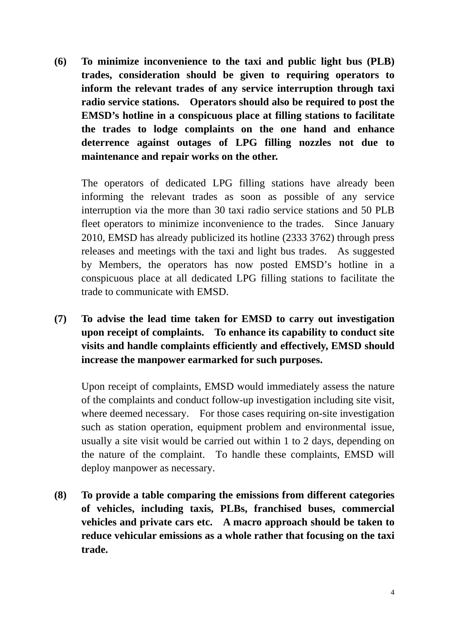**(6) To minimize inconvenience to the taxi and public light bus (PLB) trades, consideration should be given to requiring operators to inform the relevant trades of any service interruption through taxi radio service stations. Operators should also be required to post the EMSD's hotline in a conspicuous place at filling stations to facilitate the trades to lodge complaints on the one hand and enhance deterrence against outages of LPG filling nozzles not due to maintenance and repair works on the other.** 

The operators of dedicated LPG filling stations have already been informing the relevant trades as soon as possible of any service interruption via the more than 30 taxi radio service stations and 50 PLB fleet operators to minimize inconvenience to the trades. Since January 2010, EMSD has already publicized its hotline (2333 3762) through press releases and meetings with the taxi and light bus trades. As suggested by Members, the operators has now posted EMSD's hotline in a conspicuous place at all dedicated LPG filling stations to facilitate the trade to communicate with EMSD.

**(7) To advise the lead time taken for EMSD to carry out investigation upon receipt of complaints. To enhance its capability to conduct site visits and handle complaints efficiently and effectively, EMSD should increase the manpower earmarked for such purposes.** 

Upon receipt of complaints, EMSD would immediately assess the nature of the complaints and conduct follow-up investigation including site visit, where deemed necessary. For those cases requiring on-site investigation such as station operation, equipment problem and environmental issue, usually a site visit would be carried out within 1 to 2 days, depending on the nature of the complaint. To handle these complaints, EMSD will deploy manpower as necessary.

**(8) To provide a table comparing the emissions from different categories of vehicles, including taxis, PLBs, franchised buses, commercial vehicles and private cars etc. A macro approach should be taken to reduce vehicular emissions as a whole rather that focusing on the taxi trade.**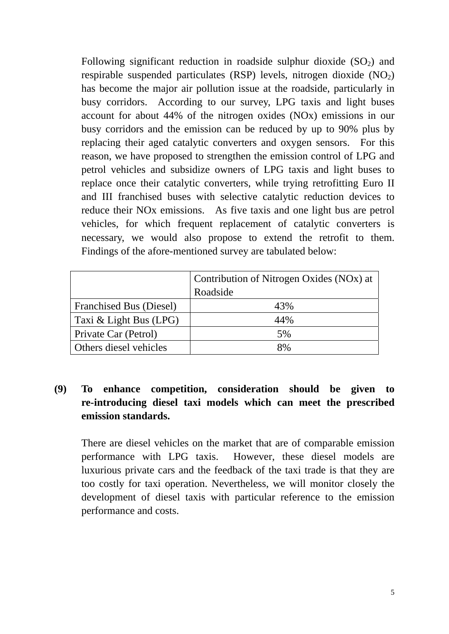Following significant reduction in roadside sulphur dioxide  $(SO<sub>2</sub>)$  and respirable suspended particulates (RSP) levels, nitrogen dioxide  $(NO<sub>2</sub>)$ has become the major air pollution issue at the roadside, particularly in busy corridors. According to our survey, LPG taxis and light buses account for about 44% of the nitrogen oxides (NOx) emissions in our busy corridors and the emission can be reduced by up to 90% plus by replacing their aged catalytic converters and oxygen sensors. For this reason, we have proposed to strengthen the emission control of LPG and petrol vehicles and subsidize owners of LPG taxis and light buses to replace once their catalytic converters, while trying retrofitting Euro II and III franchised buses with selective catalytic reduction devices to reduce their NOx emissions. As five taxis and one light bus are petrol vehicles, for which frequent replacement of catalytic converters is necessary, we would also propose to extend the retrofit to them. Findings of the afore-mentioned survey are tabulated below:

|                                | Contribution of Nitrogen Oxides (NOx) at<br>Roadside |  |  |
|--------------------------------|------------------------------------------------------|--|--|
| <b>Franchised Bus (Diesel)</b> | 43%                                                  |  |  |
| Taxi & Light Bus (LPG)         | 44%                                                  |  |  |
| Private Car (Petrol)           | 5%                                                   |  |  |
| Others diesel vehicles         | 8%                                                   |  |  |

### **(9) To enhance competition, consideration should be given to re-introducing diesel taxi models which can meet the prescribed emission standards.**

There are diesel vehicles on the market that are of comparable emission performance with LPG taxis. However, these diesel models are luxurious private cars and the feedback of the taxi trade is that they are too costly for taxi operation. Nevertheless, we will monitor closely the development of diesel taxis with particular reference to the emission performance and costs.